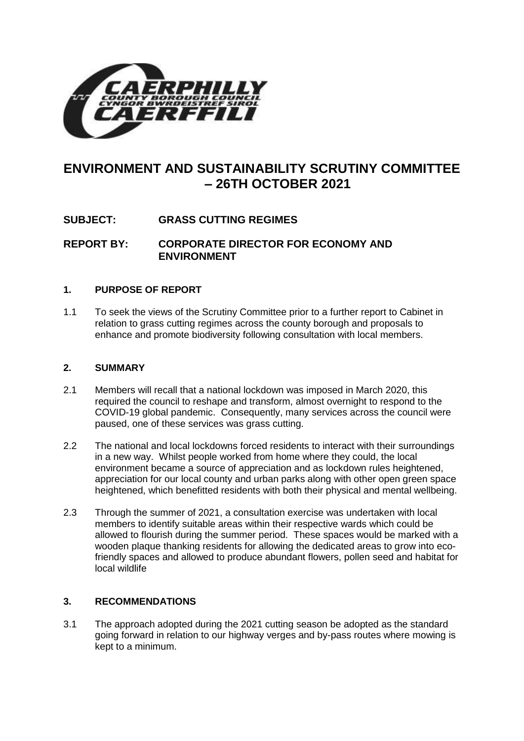

# **ENVIRONMENT AND SUSTAINABILITY SCRUTINY COMMITTEE – 26TH OCTOBER 2021**

# **SUBJECT: GRASS CUTTING REGIMES**

**REPORT BY: CORPORATE DIRECTOR FOR ECONOMY AND ENVIRONMENT**

#### **1. PURPOSE OF REPORT**

1.1 To seek the views of the Scrutiny Committee prior to a further report to Cabinet in relation to grass cutting regimes across the county borough and proposals to enhance and promote biodiversity following consultation with local members.

#### **2. SUMMARY**

- 2.1 Members will recall that a national lockdown was imposed in March 2020, this required the council to reshape and transform, almost overnight to respond to the COVID-19 global pandemic. Consequently, many services across the council were paused, one of these services was grass cutting.
- 2.2 The national and local lockdowns forced residents to interact with their surroundings in a new way. Whilst people worked from home where they could, the local environment became a source of appreciation and as lockdown rules heightened, appreciation for our local county and urban parks along with other open green space heightened, which benefitted residents with both their physical and mental wellbeing.
- 2.3 Through the summer of 2021, a consultation exercise was undertaken with local members to identify suitable areas within their respective wards which could be allowed to flourish during the summer period. These spaces would be marked with a wooden plaque thanking residents for allowing the dedicated areas to grow into ecofriendly spaces and allowed to produce abundant flowers, pollen seed and habitat for local wildlife

#### **3. RECOMMENDATIONS**

3.1 The approach adopted during the 2021 cutting season be adopted as the standard going forward in relation to our highway verges and by-pass routes where mowing is kept to a minimum.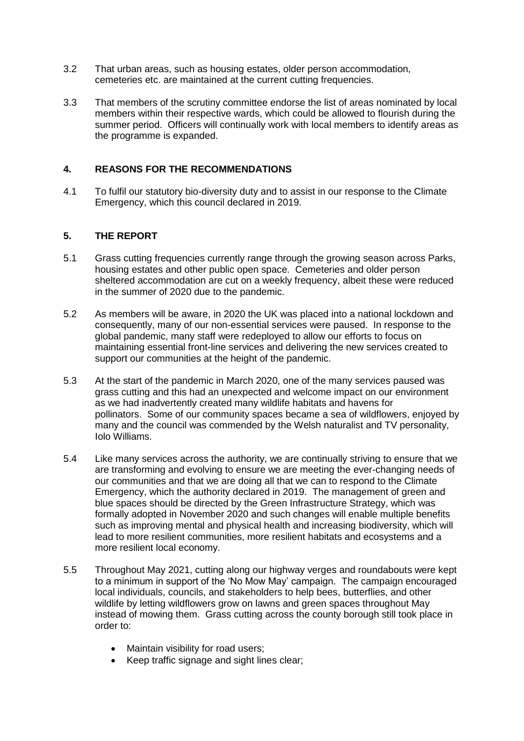- 3.2 That urban areas, such as housing estates, older person accommodation, cemeteries etc. are maintained at the current cutting frequencies.
- 3.3 That members of the scrutiny committee endorse the list of areas nominated by local members within their respective wards, which could be allowed to flourish during the summer period. Officers will continually work with local members to identify areas as the programme is expanded.

#### **4. REASONS FOR THE RECOMMENDATIONS**

4.1 To fulfil our statutory bio-diversity duty and to assist in our response to the Climate Emergency, which this council declared in 2019.

#### **5. THE REPORT**

- 5.1 Grass cutting frequencies currently range through the growing season across Parks, housing estates and other public open space. Cemeteries and older person sheltered accommodation are cut on a weekly frequency, albeit these were reduced in the summer of 2020 due to the pandemic.
- 5.2 As members will be aware, in 2020 the UK was placed into a national lockdown and consequently, many of our non-essential services were paused. In response to the global pandemic, many staff were redeployed to allow our efforts to focus on maintaining essential front-line services and delivering the new services created to support our communities at the height of the pandemic.
- 5.3 At the start of the pandemic in March 2020, one of the many services paused was grass cutting and this had an unexpected and welcome impact on our environment as we had inadvertently created many wildlife habitats and havens for pollinators. Some of our community spaces became a sea of wildflowers, enjoyed by many and the council was commended by the Welsh naturalist and TV personality, Iolo Williams.
- 5.4 Like many services across the authority, we are continually striving to ensure that we are transforming and evolving to ensure we are meeting the ever-changing needs of our communities and that we are doing all that we can to respond to the Climate Emergency, which the authority declared in 2019. The management of green and blue spaces should be directed by the Green Infrastructure Strategy, which was formally adopted in November 2020 and such changes will enable multiple benefits such as improving mental and physical health and increasing biodiversity, which will lead to more resilient communities, more resilient habitats and ecosystems and a more resilient local economy.
- 5.5 Throughout May 2021, cutting along our highway verges and roundabouts were kept to a minimum in support of the 'No Mow May' campaign. The campaign encouraged local individuals, councils, and stakeholders to help bees, butterflies, and other wildlife by letting wildflowers grow on lawns and green spaces throughout May instead of mowing them. Grass cutting across the county borough still took place in order to:
	- Maintain visibility for road users;
	- Keep traffic signage and sight lines clear;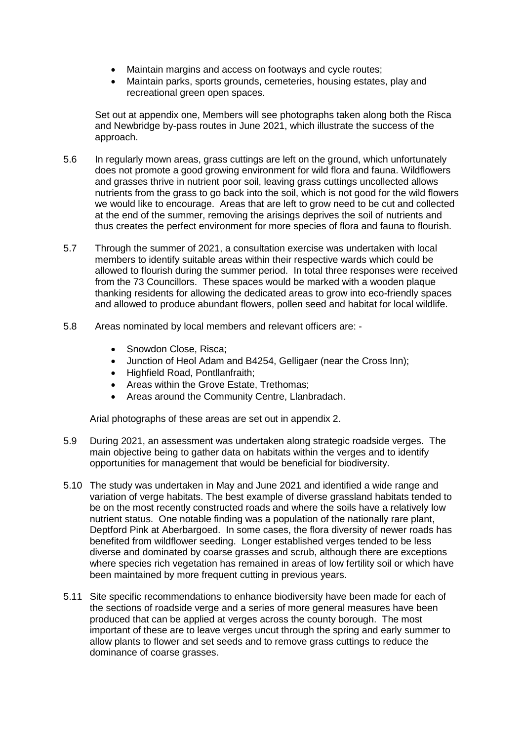- Maintain margins and access on footways and cycle routes;
- Maintain parks, sports grounds, cemeteries, housing estates, play and recreational green open spaces.

Set out at appendix one, Members will see photographs taken along both the Risca and Newbridge by-pass routes in June 2021, which illustrate the success of the approach.

- 5.6 In regularly mown areas, grass cuttings are left on the ground, which unfortunately does not promote a good growing environment for wild flora and fauna. Wildflowers and grasses thrive in nutrient poor soil, leaving grass cuttings uncollected allows nutrients from the grass to go back into the soil, which is not good for the wild flowers we would like to encourage. Areas that are left to grow need to be cut and collected at the end of the summer, removing the arisings deprives the soil of nutrients and thus creates the perfect environment for more species of flora and fauna to flourish.
- 5.7 Through the summer of 2021, a consultation exercise was undertaken with local members to identify suitable areas within their respective wards which could be allowed to flourish during the summer period. In total three responses were received from the 73 Councillors. These spaces would be marked with a wooden plaque thanking residents for allowing the dedicated areas to grow into eco-friendly spaces and allowed to produce abundant flowers, pollen seed and habitat for local wildlife.
- 5.8 Areas nominated by local members and relevant officers are:
	- Snowdon Close, Risca;
	- Junction of Heol Adam and B4254, Gelligaer (near the Cross Inn);
	- Highfield Road, Pontllanfraith;
	- Areas within the Grove Estate, Trethomas;
	- Areas around the Community Centre, Llanbradach.

Arial photographs of these areas are set out in appendix 2.

- 5.9 During 2021, an assessment was undertaken along strategic roadside verges. The main objective being to gather data on habitats within the verges and to identify opportunities for management that would be beneficial for biodiversity.
- 5.10 The study was undertaken in May and June 2021 and identified a wide range and variation of verge habitats. The best example of diverse grassland habitats tended to be on the most recently constructed roads and where the soils have a relatively low nutrient status. One notable finding was a population of the nationally rare plant, Deptford Pink at Aberbargoed. In some cases, the flora diversity of newer roads has benefited from wildflower seeding. Longer established verges tended to be less diverse and dominated by coarse grasses and scrub, although there are exceptions where species rich vegetation has remained in areas of low fertility soil or which have been maintained by more frequent cutting in previous years.
- 5.11 Site specific recommendations to enhance biodiversity have been made for each of the sections of roadside verge and a series of more general measures have been produced that can be applied at verges across the county borough. The most important of these are to leave verges uncut through the spring and early summer to allow plants to flower and set seeds and to remove grass cuttings to reduce the dominance of coarse grasses.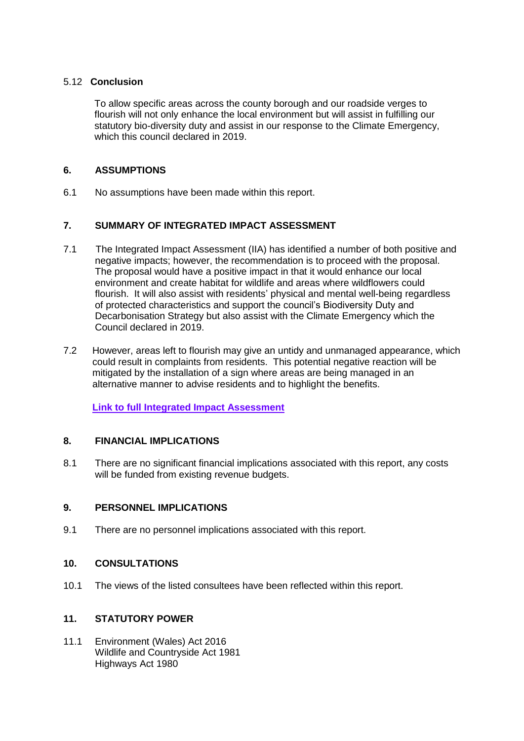#### 5.12 **Conclusion**

To allow specific areas across the county borough and our roadside verges to flourish will not only enhance the local environment but will assist in fulfilling our statutory bio-diversity duty and assist in our response to the Climate Emergency, which this council declared in 2019.

#### **6. ASSUMPTIONS**

6.1 No assumptions have been made within this report.

# **7. SUMMARY OF INTEGRATED IMPACT ASSESSMENT**

- 7.1 The Integrated Impact Assessment (IIA) has identified a number of both positive and negative impacts; however, the recommendation is to proceed with the proposal. The proposal would have a positive impact in that it would enhance our local environment and create habitat for wildlife and areas where wildflowers could flourish. It will also assist with residents' physical and mental well-being regardless of protected characteristics and support the council's Biodiversity Duty and Decarbonisation Strategy but also assist with the Climate Emergency which the Council declared in 2019.
- 7.2 However, areas left to flourish may give an untidy and unmanaged appearance, which could result in complaints from residents. This potential negative reaction will be mitigated by the installation of a sign where areas are being managed in an alternative manner to advise residents and to highlight the benefits.

**[Link to full Integrated Impact Assessment](http://www.caerphilly.gov.uk/CaerphillyDocs/IIA/iia-green-spaces-transport-form)**

# **8. FINANCIAL IMPLICATIONS**

8.1 There are no significant financial implications associated with this report, any costs will be funded from existing revenue budgets.

#### **9. PERSONNEL IMPLICATIONS**

9.1 There are no personnel implications associated with this report.

#### **10. CONSULTATIONS**

10.1 The views of the listed consultees have been reflected within this report.

# **11. STATUTORY POWER**

11.1 Environment (Wales) Act 2016 Wildlife and Countryside Act 1981 Highways Act 1980